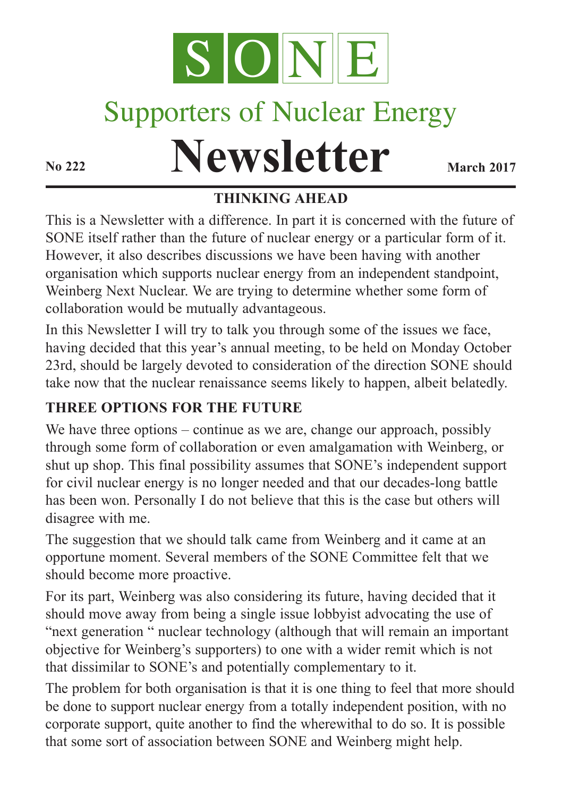

# Supporters of Nuclear Energy

# **Newsletter March** 2017

# **THINKING AHEAD**

This is a Newsletter with a difference. In part it is concerned with the future of SONE itself rather than the future of nuclear energy or a particular form of it. However, it also describes discussions we have been having with another organisation which supports nuclear energy from an independent standpoint, Weinberg Next Nuclear. We are trying to determine whether some form of collaboration would be mutually advantageous.

In this Newsletter I will try to talk you through some of the issues we face, having decided that this year's annual meeting, to be held on Monday October 23rd, should be largely devoted to consideration of the direction SONE should take now that the nuclear renaissance seems likely to happen, albeit belatedly.

# **THREE OPTIONS FOR THE FUTURE**

We have three options – continue as we are, change our approach, possibly through some form of collaboration or even amalgamation with Weinberg, or shut up shop. This final possibility assumes that SONE's independent support for civil nuclear energy is no longer needed and that our decades-long battle has been won. Personally I do not believe that this is the case but others will disagree with me.

The suggestion that we should talk came from Weinberg and it came at an opportune moment. Several members of the SONE Committee felt that we should become more proactive.

For its part, Weinberg was also considering its future, having decided that it should move away from being a single issue lobbyist advocating the use of "next generation " nuclear technology (although that will remain an important objective for Weinberg's supporters) to one with a wider remit which is not that dissimilar to SONE's and potentially complementary to it.

The problem for both organisation is that it is one thing to feel that more should be done to support nuclear energy from a totally independent position, with no corporate support, quite another to find the wherewithal to do so. It is possible that some sort of association between SONE and Weinberg might help.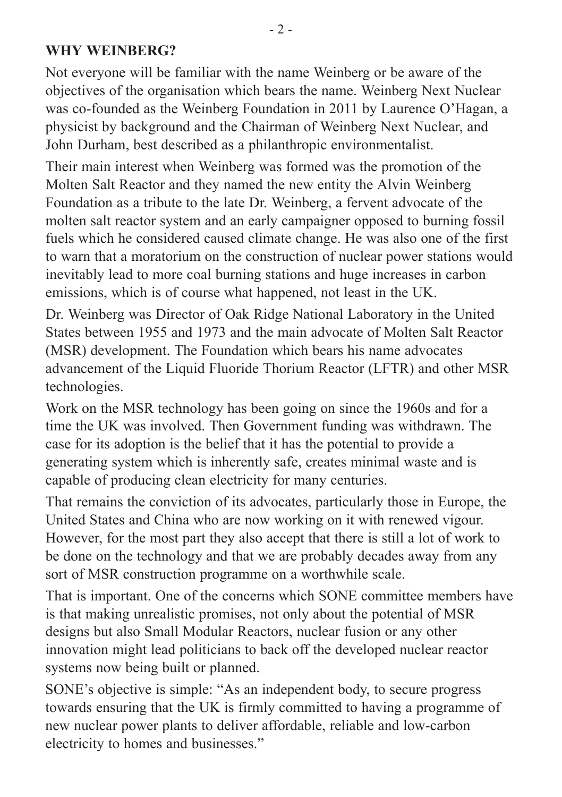#### **WHY WEINBERG?**

Not everyone will be familiar with the name Weinberg or be aware of the objectives of the organisation which bears the name. Weinberg Next Nuclear was co-founded as the Weinberg Foundation in 2011 by Laurence O'Hagan, a physicist by background and the Chairman of Weinberg Next Nuclear, and John Durham, best described as a philanthropic environmentalist.

Their main interest when Weinberg was formed was the promotion of the Molten Salt Reactor and they named the new entity the Alvin Weinberg Foundation as a tribute to the late Dr. Weinberg, a fervent advocate of the molten salt reactor system and an early campaigner opposed to burning fossil fuels which he considered caused climate change. He was also one of the first to warn that a moratorium on the construction of nuclear power stations would inevitably lead to more coal burning stations and huge increases in carbon emissions, which is of course what happened, not least in the UK.

Dr. Weinberg was Director of Oak Ridge National Laboratory in the United States between 1955 and 1973 and the main advocate of Molten Salt Reactor (MSR) development. The Foundation which bears his name advocates advancement of the Liquid Fluoride Thorium Reactor (LFTR) and other MSR technologies.

Work on the MSR technology has been going on since the 1960s and for a time the UK was involved. Then Government funding was withdrawn. The case for its adoption is the belief that it has the potential to provide a generating system which is inherently safe, creates minimal waste and is capable of producing clean electricity for many centuries.

That remains the conviction of its advocates, particularly those in Europe, the United States and China who are now working on it with renewed vigour. However, for the most part they also accept that there is still a lot of work to be done on the technology and that we are probably decades away from any sort of MSR construction programme on a worthwhile scale.

That is important. One of the concerns which SONE committee members have is that making unrealistic promises, not only about the potential of MSR designs but also Small Modular Reactors, nuclear fusion or any other innovation might lead politicians to back off the developed nuclear reactor systems now being built or planned.

SONE's objective is simple: "As an independent body, to secure progress towards ensuring that the UK is firmly committed to having a programme of new nuclear power plants to deliver affordable, reliable and low-carbon electricity to homes and businesses."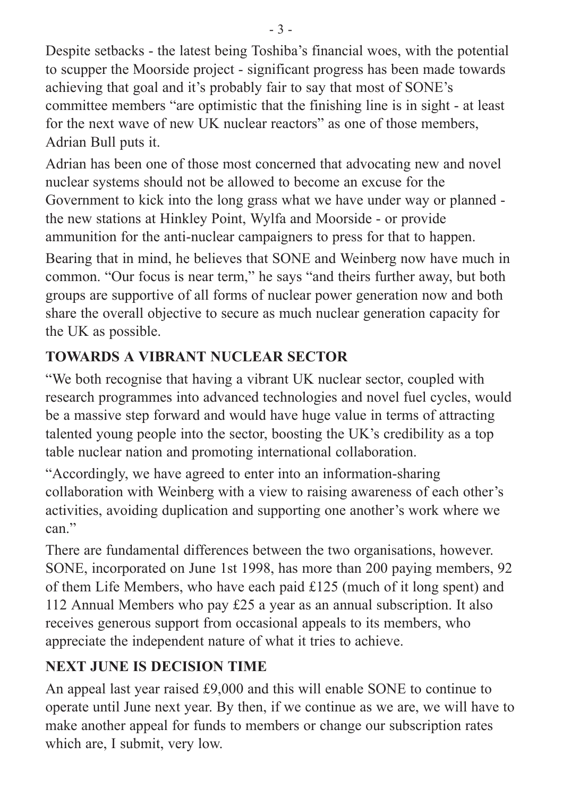Despite setbacks - the latest being Toshiba's financial woes, with the potential to scupper the Moorside project - significant progress has been made towards achieving that goal and it's probably fair to say that most of SONE's committee members "are optimistic that the finishing line is in sight - at least for the next wave of new UK nuclear reactors" as one of those members, Adrian Bull puts it.

Adrian has been one of those most concerned that advocating new and novel nuclear systems should not be allowed to become an excuse for the Government to kick into the long grass what we have under way or planned the new stations at Hinkley Point, Wylfa and Moorside - or provide ammunition for the anti-nuclear campaigners to press for that to happen.

Bearing that in mind, he believes that SONE and Weinberg now have much in common. "Our focus is near term," he says "and theirs further away, but both groups are supportive of all forms of nuclear power generation now and both share the overall objective to secure as much nuclear generation capacity for the UK as possible.

# **TOWARDS A VIBRANT NUCLEAR SECTOR**

"We both recognise that having a vibrant UK nuclear sector, coupled with research programmes into advanced technologies and novel fuel cycles, would be a massive step forward and would have huge value in terms of attracting talented young people into the sector, boosting the UK's credibility as a top table nuclear nation and promoting international collaboration.

"Accordingly, we have agreed to enter into an information-sharing collaboration with Weinberg with a view to raising awareness of each other's activities, avoiding duplication and supporting one another's work where we can<sup>"</sup>

There are fundamental differences between the two organisations, however. SONE, incorporated on June 1st 1998, has more than 200 paying members, 92 of them Life Members, who have each paid £125 (much of it long spent) and 112 Annual Members who pay £25 a year as an annual subscription. It also receives generous support from occasional appeals to its members, who appreciate the independent nature of what it tries to achieve.

# **NEXT JUNE IS DECISION TIME**

An appeal last year raised £9,000 and this will enable SONE to continue to operate until June next year. By then, if we continue as we are, we will have to make another appeal for funds to members or change our subscription rates which are, I submit, very low.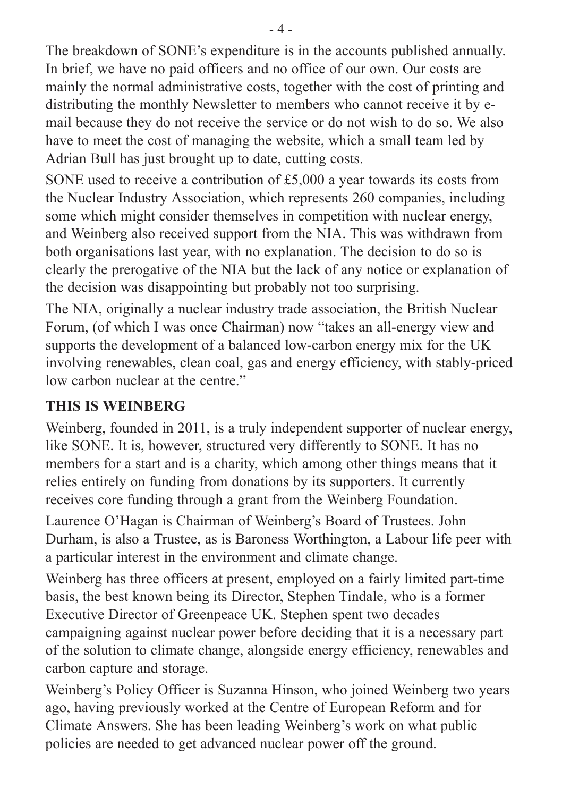The breakdown of SONE's expenditure is in the accounts published annually. In brief, we have no paid officers and no office of our own. Our costs are mainly the normal administrative costs, together with the cost of printing and distributing the monthly Newsletter to members who cannot receive it by email because they do not receive the service or do not wish to do so. We also have to meet the cost of managing the website, which a small team led by Adrian Bull has just brought up to date, cutting costs.

SONE used to receive a contribution of £5,000 a year towards its costs from the Nuclear Industry Association, which represents 260 companies, including some which might consider themselves in competition with nuclear energy, and Weinberg also received support from the NIA. This was withdrawn from both organisations last year, with no explanation. The decision to do so is clearly the prerogative of the NIA but the lack of any notice or explanation of the decision was disappointing but probably not too surprising.

The NIA, originally a nuclear industry trade association, the British Nuclear Forum, (of which I was once Chairman) now "takes an all-energy view and supports the development of a balanced low-carbon energy mix for the UK involving renewables, clean coal, gas and energy efficiency, with stably-priced low carbon nuclear at the centre."

#### **THIS IS WEINBERG**

Weinberg, founded in 2011, is a truly independent supporter of nuclear energy, like SONE. It is, however, structured very differently to SONE. It has no members for a start and is a charity, which among other things means that it relies entirely on funding from donations by its supporters. It currently receives core funding through a grant from the Weinberg Foundation.

Laurence O'Hagan is Chairman of Weinberg's Board of Trustees. John Durham, is also a Trustee, as is Baroness Worthington, a Labour life peer with a particular interest in the environment and climate change.

Weinberg has three officers at present, employed on a fairly limited part-time basis, the best known being its Director, Stephen Tindale, who is a former Executive Director of Greenpeace UK. Stephen spent two decades campaigning against nuclear power before deciding that it is a necessary part of the solution to climate change, alongside energy efficiency, renewables and carbon capture and storage.

Weinberg's Policy Officer is Suzanna Hinson, who joined Weinberg two years ago, having previously worked at the Centre of European Reform and for Climate Answers. She has been leading Weinberg's work on what public policies are needed to get advanced nuclear power off the ground.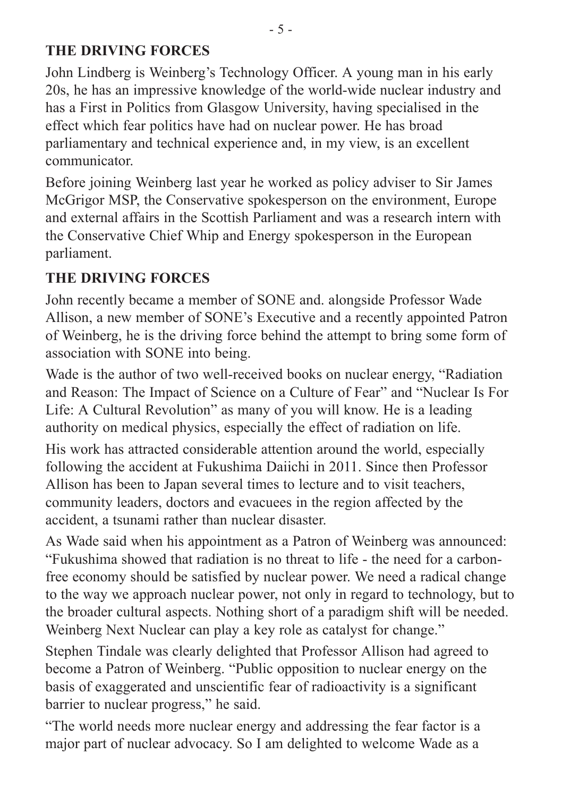#### **THE DRIVING FORCES**

John Lindberg is Weinberg's Technology Officer. A young man in his early 20s, he has an impressive knowledge of the world-wide nuclear industry and has a First in Politics from Glasgow University, having specialised in the effect which fear politics have had on nuclear power. He has broad parliamentary and technical experience and, in my view, is an excellent communicator.

Before joining Weinberg last year he worked as policy adviser to Sir James McGrigor MSP, the Conservative spokesperson on the environment, Europe and external affairs in the Scottish Parliament and was a research intern with the Conservative Chief Whip and Energy spokesperson in the European parliament.

#### **THE DRIVING FORCES**

John recently became a member of SONE and. alongside Professor Wade Allison, a new member of SONE's Executive and a recently appointed Patron of Weinberg, he is the driving force behind the attempt to bring some form of association with SONE into being.

Wade is the author of two well-received books on nuclear energy, "Radiation and Reason: The Impact of Science on a Culture of Fear" and "Nuclear Is For Life: A Cultural Revolution" as many of you will know. He is a leading authority on medical physics, especially the effect of radiation on life.

His work has attracted considerable attention around the world, especially following the accident at Fukushima Daiichi in 2011. Since then Professor Allison has been to Japan several times to lecture and to visit teachers, community leaders, doctors and evacuees in the region affected by the accident, a tsunami rather than nuclear disaster.

As Wade said when his appointment as a Patron of Weinberg was announced: "Fukushima showed that radiation is no threat to life - the need for a carbonfree economy should be satisfied by nuclear power. We need a radical change to the way we approach nuclear power, not only in regard to technology, but to the broader cultural aspects. Nothing short of a paradigm shift will be needed. Weinberg Next Nuclear can play a key role as catalyst for change."

Stephen Tindale was clearly delighted that Professor Allison had agreed to become a Patron of Weinberg. "Public opposition to nuclear energy on the basis of exaggerated and unscientific fear of radioactivity is a significant barrier to nuclear progress," he said.

"The world needs more nuclear energy and addressing the fear factor is a major part of nuclear advocacy. So I am delighted to welcome Wade as a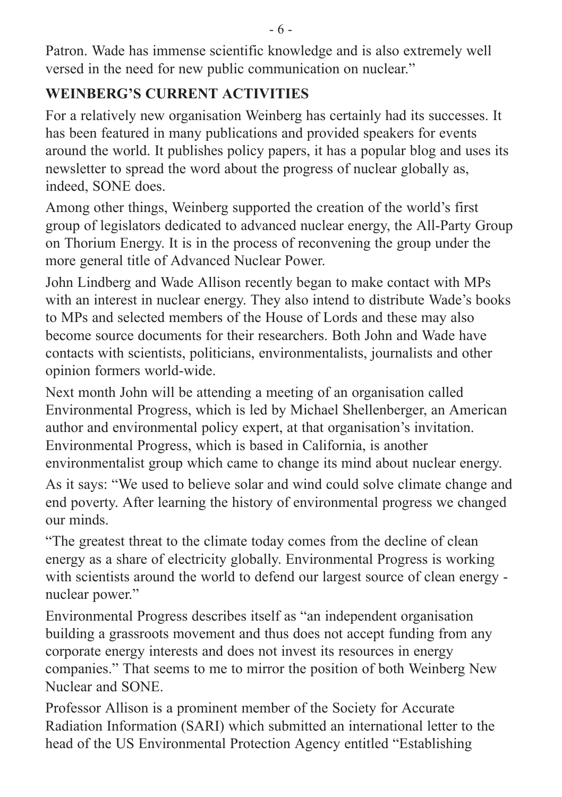Patron. Wade has immense scientific knowledge and is also extremely well versed in the need for new public communication on nuclear."

### **WEINBERG'S CURRENT ACTIVITIES**

For a relatively new organisation Weinberg has certainly had its successes. It has been featured in many publications and provided speakers for events around the world. It publishes policy papers, it has a popular blog and uses its newsletter to spread the word about the progress of nuclear globally as, indeed, SONE does.

Among other things, Weinberg supported the creation of the world's first group of legislators dedicated to advanced nuclear energy, the All-Party Group on Thorium Energy. It is in the process of reconvening the group under the more general title of Advanced Nuclear Power.

John Lindberg and Wade Allison recently began to make contact with MPs with an interest in nuclear energy. They also intend to distribute Wade's books to MPs and selected members of the House of Lords and these may also become source documents for their researchers. Both John and Wade have contacts with scientists, politicians, environmentalists, journalists and other opinion formers world-wide.

Next month John will be attending a meeting of an organisation called Environmental Progress, which is led by Michael Shellenberger, an American author and environmental policy expert, at that organisation's invitation. Environmental Progress, which is based in California, is another environmentalist group which came to change its mind about nuclear energy.

As it says: "We used to believe solar and wind could solve climate change and end poverty. After learning the history of environmental progress we changed our minds.

"The greatest threat to the climate today comes from the decline of clean energy as a share of electricity globally. Environmental Progress is working with scientists around the world to defend our largest source of clean energy nuclear power."

Environmental Progress describes itself as "an independent organisation building a grassroots movement and thus does not accept funding from any corporate energy interests and does not invest its resources in energy companies." That seems to me to mirror the position of both Weinberg New Nuclear and SONE.

Professor Allison is a prominent member of the Society for Accurate Radiation Information (SARI) which submitted an international letter to the head of the US Environmental Protection Agency entitled "Establishing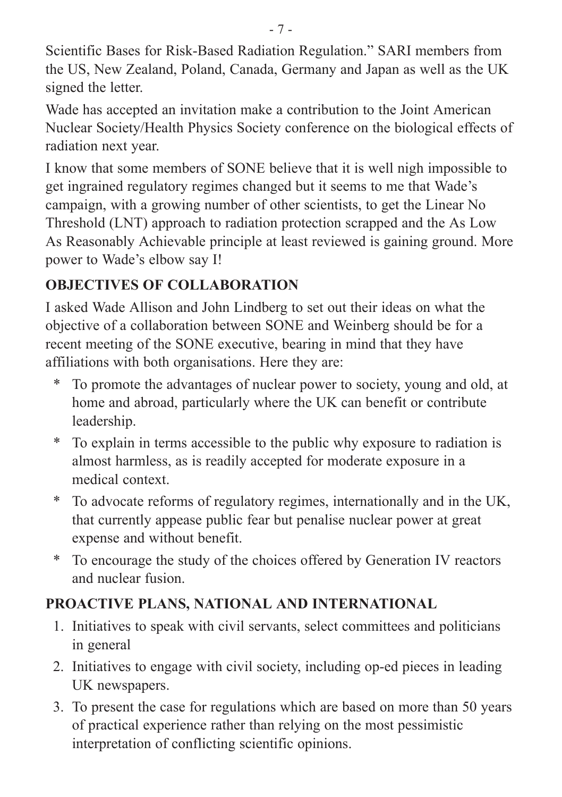Scientific Bases for Risk-Based Radiation Regulation." SARI members from the US, New Zealand, Poland, Canada, Germany and Japan as well as the UK signed the letter.

Wade has accepted an invitation make a contribution to the Joint American Nuclear Society/Health Physics Society conference on the biological effects of radiation next year.

I know that some members of SONE believe that it is well nigh impossible to get ingrained regulatory regimes changed but it seems to me that Wade's campaign, with a growing number of other scientists, to get the Linear No Threshold (LNT) approach to radiation protection scrapped and the As Low As Reasonably Achievable principle at least reviewed is gaining ground. More power to Wade's elbow say I!

## **OBJECTIVES OF COLLABORATION**

I asked Wade Allison and John Lindberg to set out their ideas on what the objective of a collaboration between SONE and Weinberg should be for a recent meeting of the SONE executive, bearing in mind that they have affiliations with both organisations. Here they are:

- \* To promote the advantages of nuclear power to society, young and old, at home and abroad, particularly where the UK can benefit or contribute leadership.
- \* To explain in terms accessible to the public why exposure to radiation is almost harmless, as is readily accepted for moderate exposure in a medical context.
- \* To advocate reforms of regulatory regimes, internationally and in the UK, that currently appease public fear but penalise nuclear power at great expense and without benefit.
- \* To encourage the study of the choices offered by Generation IV reactors and nuclear fusion.

# **PROACTIVE PLANS, NATIONAL AND INTERNATIONAL**

- 1. Initiatives to speak with civil servants, select committees and politicians in general
- 2. Initiatives to engage with civil society, including op-ed pieces in leading UK newspapers.
- 3. To present the case for regulations which are based on more than 50 years of practical experience rather than relying on the most pessimistic interpretation of conflicting scientific opinions.